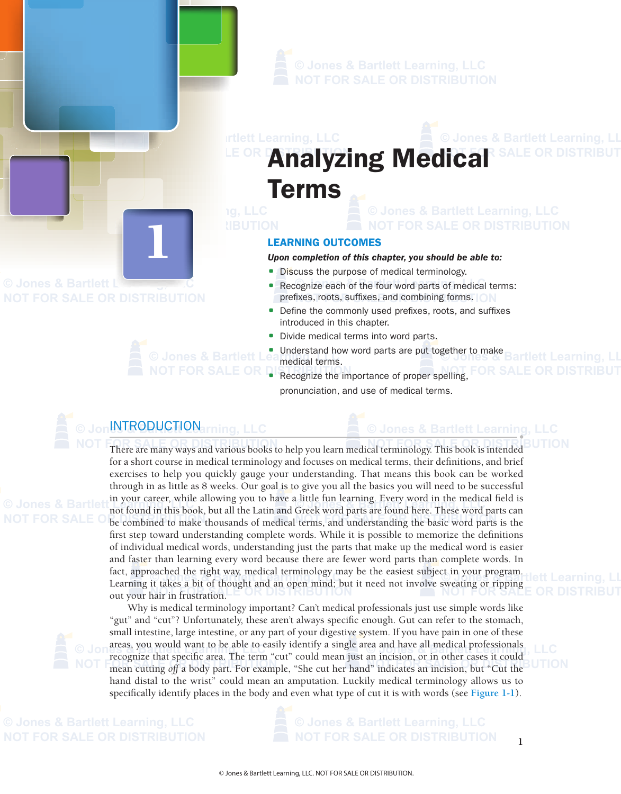

# **NOTE: Analyzing Medical** Terms

#### LEARNING OUTCOMES

*Upon completion of this chapter, you should be able to:*

- Discuss the purpose of medical terminology.
- **Recognize each of the four word parts of medical terms:** prefixes, roots, suffixes, and combining forms.
- Define the commonly used prefixes, roots, and suffixes introduced in this chapter.
- Divide medical terms into word parts.
- **C** Diderstand Hotel Conducts Learning and the motor motor motor motor motor motor motor motor motor motor motor  $\mathbf{R}$ • Understand how word parts are put together to make<br>medical terms

**© Jones & Bartlett Learning, LLC**

**•** Recognize the importance of proper spelling, **Notified that the sales of the sales of the sales of the sales of the sales of the sales of the sales of the s** pronunciation, and use of medical terms.

# **INTRODUCTION**

There are many ways and various books to help you learn medical terminology. This book is intended In your career, while allowing you to have a little run learning. Every word in the medical field is<br>not found in this book, but all the Latin and Greek word parts are found here. These word parts can **NOTE CORRECTED IN THE SECT.** THE SALE OF THE SALE OF THE SALE OF THE SALE OF THE SALE OF THE SALE OF THE SALE OF THE SALE OF THE SALE OF THE SALE OF THE SALE OF THE SALE OF THE SALE OF THE SALE OF THE SALE OF THE SALE OF ract, approached the right way, medicar terminology may be the easiest subject in your program.<br>Learning it takes a bit of thought and an open mind; but it need not involve sweating or ripping **Examing it also a** *bit* of distinguished and an open nima, bat  $N$ <sup>2</sup> for a short course in medical terminology and focuses on medical terms, their definitions, and brief exercises to help you quickly gauge your understanding. That means this book can be worked through in as little as 8 weeks. Our goal is to give you all the basics you will need to be successful in your career, while allowing you to have a little fun learning. Every word in the medical field is first step toward understanding complete words. While it is possible to memorize the definitions of individual medical words, understanding just the parts that make up the medical word is easier and faster than learning every word because there are fewer word parts than complete words. In fact, approached the right way, medical terminology may be the easiest subject in your program.

> areas, you would want to be able to easily identify a single area and have all medical professionals<br>conserving that we also small terms "wort" and wear instant in institute an installation second teamed recognize that speeme area. The term care coald mean jast an incision, or in other cases it coald<br>mean cutting *off* a body part. For example, "She cut her hand" indicates an incision, but "Cut the Why is medical terminology important? Can't medical professionals just use simple words like "gut" and "cut"? Unfortunately, these aren't always specific enough. Gut can refer to the stomach, small intestine, large intestine, or any part of your digestive system. If you have pain in one of these recognize that specific area. The term "cut" could mean just an incision, or in other cases it could hand distal to the wrist" could mean an amputation. Luckily medical terminology allows us to specifically identify places in the body and even what type of cut it is with words (see **Figure 1-1**).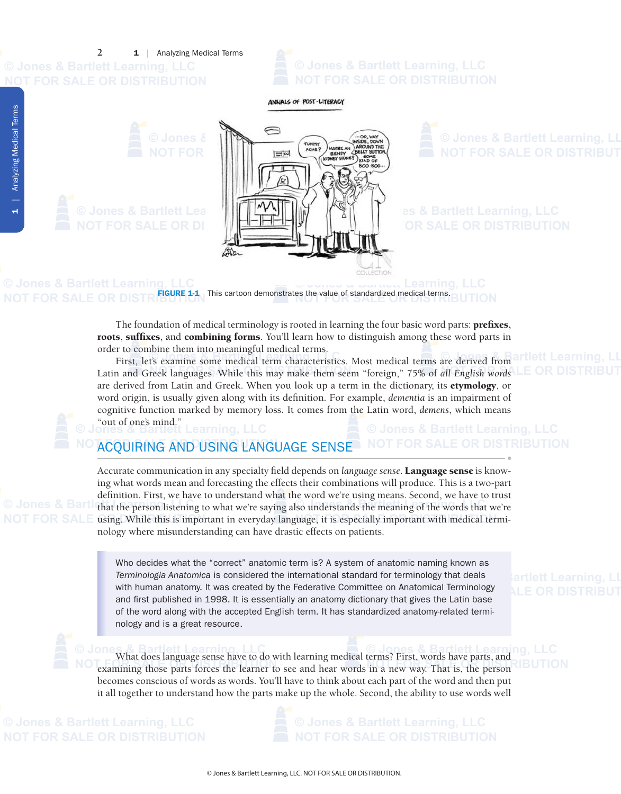**NOT FOR SALE OR DISTRIBUTION**

#### ANNALS OF POST-LITERACY



**NOTE:** The same state of the same state of the same state of the same state of the same state of the same state of the same state of the same state of the same state of the same state of the same state of the same state o **FIGURE 1-1** This cartoon demonstrates the value of standardized medical terms.

The foundation of medical terminology is rooted in learning the four basic word parts: **prefixes**, roots, suffixes, and combining forms. You'll learn how to distinguish among these word parts in order to combine them into meaningful medical terms.

**First, let's examine some medical term characteristics. Most medical terms are derived from** Latin and Greek languages. While this may make them seem "foreign," 75% of all *English words*  $\sigma$  de  $\sigma$  is a barrier. are derived from Latin and Greek. When you look up a term in the dictionary, its etymology, or word origin, is usually given along with its definition. For example, *dementia* is an impairment of cognitive function marked by memory loss. It comes from the Latin word, *demens*, which means "out of one's mind."

# **ACQUIRING AND USING LANGUAGE SENSE**

that the person listening to what we're saying also understands the meaning of the words that we're using. While this is important in everyday language, it is especially important with medical termi-Accurate communication in any specialty field depends on *language sense*. Language sense is knowing what words mean and forecasting the effects their combinations will produce. This is a two-part definition. First, we have to understand what the word we're using means. Second, we have to trust nology where misunderstanding can have drastic effects on patients.

> **© Jones & Bartlett Learning, LLC © Jones & Bartlett Learning, LLC** *Terminologia Anatomica* is considered the international standard for terminology that deals with human anatomy. It was created by the Federative Committee on Anatomical Terminology<br>with the committee of the committee of the committee on the committee of the committee of the committee of the c Who decides what the "correct" anatomic term is? A system of anatomic naming known as and first published in 1998. It is essentially an anatomy dictionary that gives the Latin base of the word along with the accepted English term. It has standardized anatomy-related terminology and is a great resource.

What does language sense have to do with learning medical terms? First, words have parts, and examining those parts forces the learner to see and hear words in a new way. That is, the person becomes conscious of words as words. You'll have to think about each part of the word and then put it all together to understand how the parts make up the whole. Second, the ability to use words well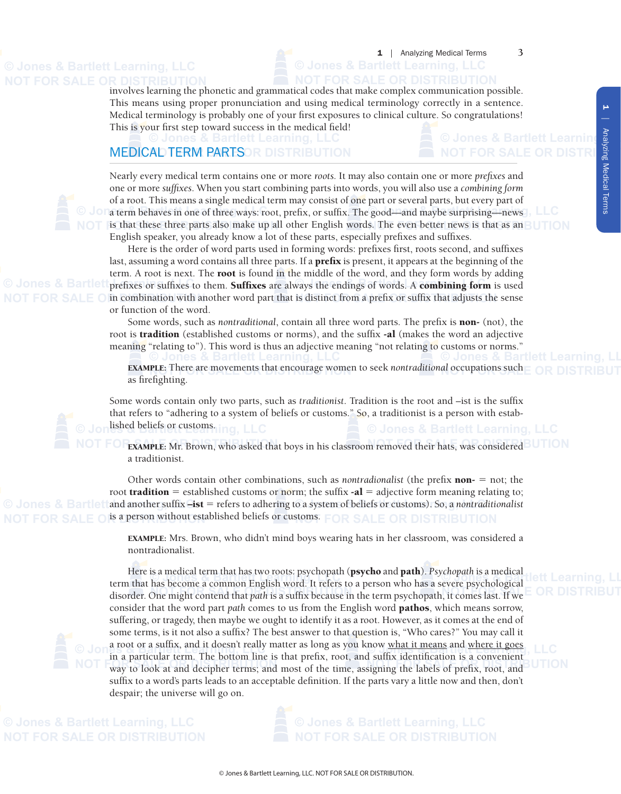**NOT FOR SALE OR DISTRIBUTION NOT FOR SALE OR DISTRIBUTION** involves learning the phonetic and grammatical codes that make complex communication possible. This means using proper pronunciation and using medical terminology correctly in a sentence. Medical terminology is probably one of your first exposures to clinical culture. So congratulations! This is your first step toward success in the medical field!

## **MEDICAL TERM PARTS**

**© Jones & Bartlett Learning, LLC**

a term behaves in one of three ways: root, prefix, or suffix. The good—and maybe surprising—news is that these three parts also make up all other English words. The even better news is that as an Nearly every medical term contains one or more *roots.* It may also contain one or more *prefixes* and one or more *suffixes*. When you start combining parts into words, you will also use a *combining form* of a root. This means a single medical term may consist of one part or several parts, but every part of English speaker, you already know a lot of these parts, especially prefixes and suffixes.

prefixes or suffixes to them. **Suffixes** are always the endings of words. A **combining form** is used in combination with another word part that is distinct from a prefix or suffix that adjusts the sense Here is the order of word parts used in forming words: prefixes first, roots second, and suffixes last, assuming a word contains all three parts. If a **prefix** is present, it appears at the beginning of the term. A root is next. The **root** is found in the middle of the word, and they form words by adding or function of the word.

> **© Jones & Bartlett Learning, LLC** Some words, such as *nontraditional*, contain all three word parts. The prefix is non- (not), the root is **tradition** (established customs or norms), and the suffix -al (makes the word an adjective meaning "relating to"). This word is thus an adjective meaning "not relating to customs or norms."

**EXAMPLE:** There are movements that encourage women to seek *nontraditional* occupations such as firefighting.

lished beliefs or customs. Some words contain only two parts, such as *traditionist*. Tradition is the root and –ist is the suffix that refers to "adhering to a system of beliefs or customs." So, a traditionist is a person with estab-

**EXAMPLE:** Mr. Brown, who asked that boys in his classroom removed their hats, was considered a traditionist.

and another suffix **–ist** = refers to adhering to a system of beliefs or customs). So, a *nontraditionalist* is a person without established beliefs or customs. **NOTE:**  $\mathbf{N}$ Other words contain other combinations, such as *nontradionalist* (the prefix non- = not; the root **tradition** = established customs or norm; the suffix  $\text{-} \mathbf{al}$  = adjective form meaning relating to;

> EXAMPLE: Mrs. Brown, who didn't mind boys wearing hats in her classroom, was considered a nontradionalist.

Frefe is a medical term that has two foots. By chopain (**psycho** and **path**). *Psychopain* is a medical<br>term that has become a common English word. It refers to a person who has a severe psychological disorder. One might contend that *path* is a suffix because in the term psychopath, it comes last. If we a root or a suffix, and it doesn't really matter as long as you know <u>what it means</u> and <u>where it goes</u><br>in a norticular term. The hatter dine is that unfire meat, and ufficial dutification is a communism way to look at and decipher terms; and most of the time, assigning the labels of prefix, root, and Here is a medical term that has two roots: psychopath (psycho and path). *Psychopath* is a medical consider that the word part *path* comes to us from the English word pathos, which means sorrow, suffering, or tragedy, then maybe we ought to identify it as a root. However, as it comes at the end of some terms, is it not also a suffix? The best answer to that question is, "Who cares?" You may call it in a particular term. The bottom line is that prefix, root, and suffix identification is a convenient suffix to a word's parts leads to an acceptable definition. If the parts vary a little now and then, don't despair; the universe will go on.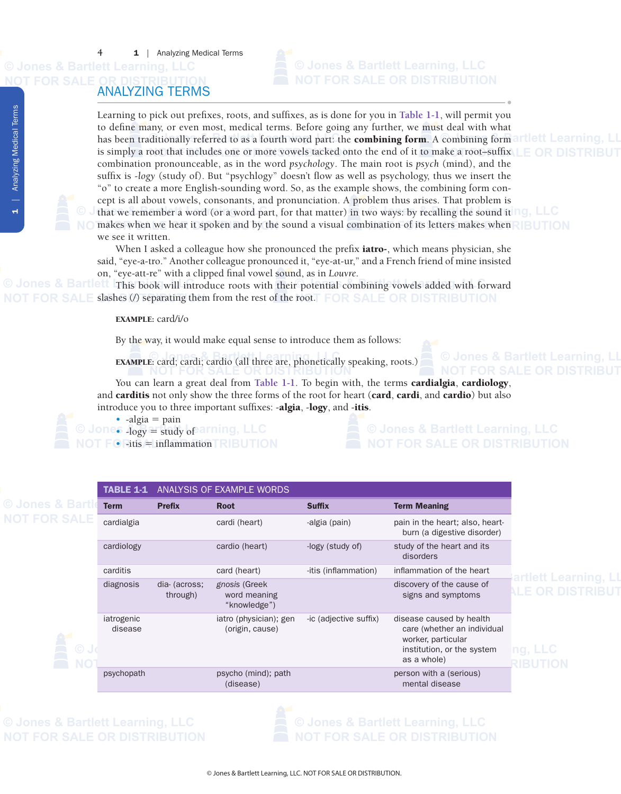## **NOT FOR SALE OR DISTRIBUTION** ANALYZING TERMS

has been traditionally referred to as a fourth word part: the **combining form**. A combining form is simply a root that includes one or more vowels tacked onto the end of it to make a root–suffix that we remember a word (or a word part, for that matter) in two ways: by recalling the sound it makes when we hear it spoken and by the sound a visual combination of its letters makes when Learning to pick out prefixes, roots, and suffixes, as is done for you in **Table 1-1**, will permit you to define many, or even most, medical terms. Before going any further, we must deal with what combination pronounceable, as in the word *psychology*. The main root is *psych* (mind), and the suffix is *-logy* (study of). But "psychlogy" doesn't flow as well as psychology, thus we insert the "o" to create a more English-sounding word. So, as the example shows, the combining form concept is all about vowels, consonants, and pronunciation. A problem thus arises. That problem is we see it written.

When I asked a colleague how she pronounced the prefix *iatro-*, which means physician, she said, "eye-a-tro." Another colleague pronounced it, "eye-at-ur," and a French friend of mine insisted on, "eye-att-re" with a clipped final vowel sound, as in *Louvre*.

This book will introduce roots with their potential combining vowels added with forward slashes (/) separating them from the rest of the root.  $\text{root}.$ 

#### EXAMPLE: card/i/o

By the way, it would make equal sense to introduce them as follows:

**EXAMPLE**: card; cardi; cardio (all three are, phonetically speaking, roots.) **NOT FOR SALE OR DISTRIBUTION** 

You can learn a great deal from Table 1-1. To begin with, the terms **cardialgia**, **cardiology**, and carditis not only show the three forms of the root for heart (card, cardi, and cardio) but also introduce you to three important suffixes: -algia, -logy, and -itis.

- $\bullet$  -algia = pain
- $-logy = study of$
- -itis = inflammation

| <b>TABLE 1-1</b>      | ANALYSIS OF EXAMPLE WORDS |                                               |                        |                                                                                                                            |
|-----------------------|---------------------------|-----------------------------------------------|------------------------|----------------------------------------------------------------------------------------------------------------------------|
| <b>Term</b>           | <b>Prefix</b>             | <b>Root</b>                                   | <b>Suffix</b>          | <b>Term Meaning</b>                                                                                                        |
| cardialgia            |                           | cardi (heart)                                 | -algia (pain)          | pain in the heart; also, heart-<br>burn (a digestive disorder)                                                             |
| cardiology            |                           | cardio (heart)                                | -logy (study of)       | study of the heart and its<br>disorders                                                                                    |
| carditis              |                           | card (heart)                                  | -itis (inflammation)   | inflammation of the heart                                                                                                  |
| diagnosis             | dia- (across;<br>through) | gnosis (Greek<br>word meaning<br>"knowledge") |                        | discovery of the cause of<br>signs and symptoms                                                                            |
| iatrogenic<br>disease |                           | iatro (physician); gen<br>(origin, cause)     | -ic (adjective suffix) | disease caused by health<br>care (whether an individual<br>worker, particular<br>institution, or the system<br>as a whole) |
| psychopath            |                           | psycho (mind); path<br>(disease)              |                        | person with a (serious)<br>mental disease                                                                                  |
|                       |                           |                                               |                        |                                                                                                                            |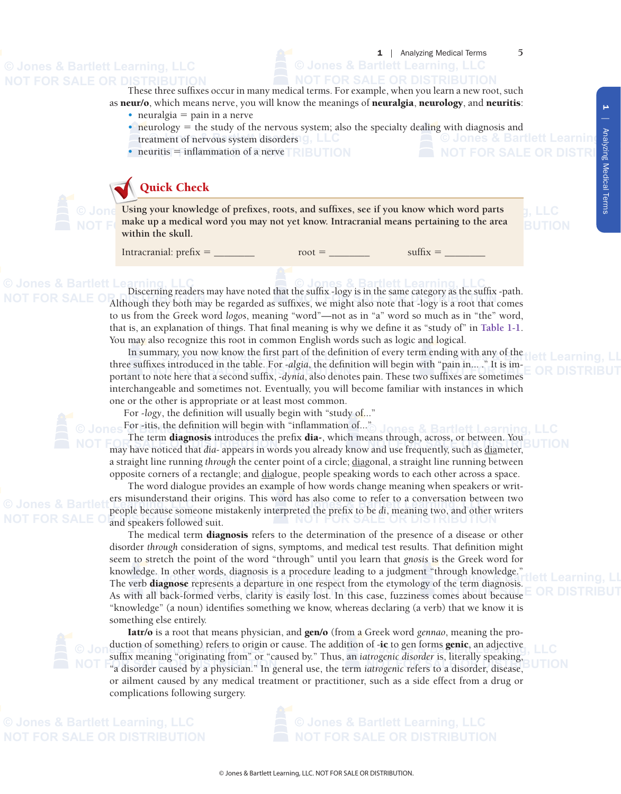**NOT FOR SALE OR DISTRIBUTION NOT FOR SALE OR DISTRIBUTION** These three suffixes occur in many medical terms. For example, when you learn a new root, such as neur/o, which means nerve, you will know the meanings of neuralgia, neurology, and neuritis:

- neuralgia  $=$  pain in a nerve
- treatment of nervous system disorders **© Jones & Bartlett Learning, LLC** • neurology = the study of the nervous system; also the specialty dealing with diagnosis and
- neuritis = inflammation of a nerve

## Quick Check

Using your knowledge of prefixes, roots, and suffixes, see if you know which word parts make up a medical word you may not yet know. Intracranial means pertaining to the area **within the skull.**

Intracranial:  $\text{prefix} = \_\_\_\_\_\$  root =  $\_\_\_\_\_\$  suffix =  $\_\_\_\$ 

Discerning readers may have noted that the suffix -logy is in the same category as the suffix -path. **DISCUTION** LOCOL THE SALE -LOGY IS IN THE SALE CALC OF AS THE SALE OR BUILD - DAM.<br>Although they both may be regarded as suffixes, we might also note that -logy is a root that comes to us from the Greek word *logos*, meaning "word"—not as in "a" word so much as in "the" word, that is, an explanation of things. That final meaning is why we define it as "study of" in **Table 1-1**. You may also recognize this root in common English words such as logic and logical.

> In summary, you now know the first part of the definition of every term ending with any of the three sumixes introduced in the table. For *-digita*, the definition with begin with pain in... First in-<br>portant to note here that a second suffix, *-dynia*, also denotes pain. These two suffixes are sometimes three suffixes introduced in the table. For *-algia*, the definition will begin with "pain in... ." It is iminterchangeable and sometimes not. Eventually, you will become familiar with instances in which one or the other is appropriate or at least most common.

For *-logy*, the definition will usually begin with "study of..."

For -itis, the definition will begin with "inflammation of..."

Inc term **inagnosis** infoduces the prefix **tha-**, which hieads through, across, or between. To the may have noticed that *dia-* appears in words you already know and use frequently, such as <u>dia</u>meter, or -itis, the definition will begin with "inflammation of…"<br>The term **diagnosis** introduces the prefix **dia-**, which means through, across, or between. You a straight line running *through* the center point of a circle; diagonal, a straight line running between opposite corners of a rectangle; and dialogue, people speaking words to each other across a space.

**E** B Inisunce Stand their origins. This word has also come to feler to a conversation between **NOTE SECULTS SECULES** people because someone mistakenly interpreted the prefix to be *di*, meaning two, and other writers<br>and speakers followed suit The word dialogue provides an example of how words change meaning when speakers or writers misunderstand their origins. This word has also come to refer to a conversation between two

> knowledge. In other words, diagnosis is a procedure reading to a judgment Uniough knowledge.<br>The verb **diagnose** represents a departure in one respect from the etymology of the term diagnosis. As with all back-formed verbs, clarity is easily lost. In this case, fuzziness comes about because The medical term diagnosis refers to the determination of the presence of a disease or other disorder *through* consideration of signs, symptoms, and medical test results. That definition might seem to stretch the point of the word "through" until you learn that *gnosis* is the Greek word for knowledge. In other words, diagnosis is a procedure leading to a judgment "through knowledge." "knowledge" (a noun) identifies something we know, whereas declaring (a verb) that we know it is something else entirely.

duction of something) refers to origin or cause. The addition of -**ic** to gen forms **genic**, an adjective<br>suffer we only a "existing from" an "caused by". Thus, an istuary is disrubute literally mashing **NOT FOR SALE OR DISTRIBUTION NOT FOR SALE OR DISTRIBUTION** "a disorder caused by a physician." In general use, the term *iatrogenic* refers to a disorder, disease, Iatr/o is a root that means physician, and gen/o (from a Greek word *gennao*, meaning the prosuffix meaning "originating from" or "caused by." Thus, an *iatrogenic disorder* is, literally speaking, or ailment caused by any medical treatment or practitioner, such as a side effect from a drug or complications following surgery.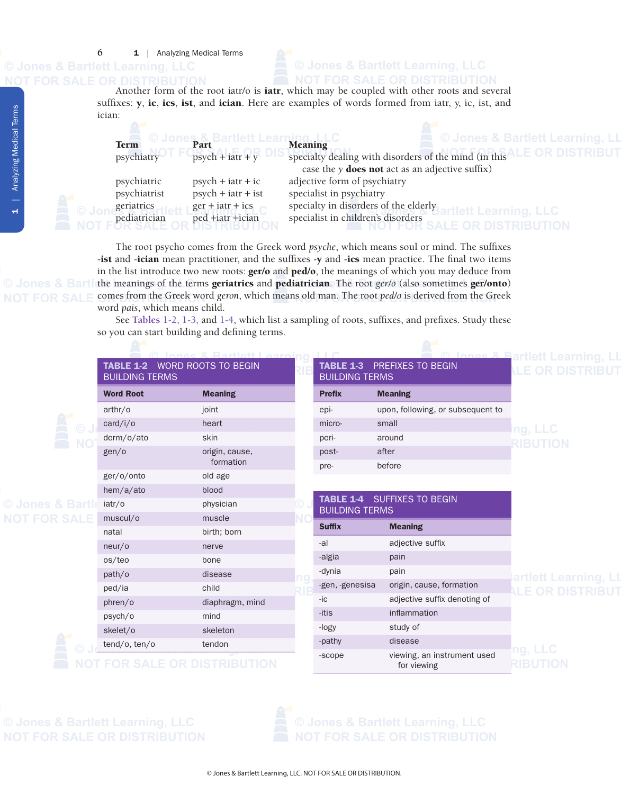**NOT FOR SALE OR DISTRIBUTION NOT FOR SALE OR DISTRIBUTION** Another form of the root iatr/o is **iatr**, which may be coupled with other roots and several suffixes:  $y$ , ic, ics, ist, and ician. Here are examples of words formed from iatr,  $y$ , ic, ist, and ician:

| <b>Term</b>  | Part                 | <b>Meaning</b>                                        |
|--------------|----------------------|-------------------------------------------------------|
| psychiatry   | $psych + iatr + y$   | specialty dealing with disorders of the mind (in this |
|              |                      | case the $y$ does not act as an adjective suffix)     |
| psychiatric  | $psych + iatr + ic$  | adjective form of psychiatry                          |
| psychiatrist | $psych + iatr + ist$ | specialist in psychiatry                              |
| geriatrics   | $ger + iatr + ics$   | specialty in disorders of the elderly                 |
| pediatrician | ped +iatr +ician     | specialist in children's disorders                    |
|              |                      |                                                       |

the meanings of the terms **geriatrics** and **pediatrician**. The root *ger/o* (also sometimes **ger/onto**) comes from the Greek word *geron*, which means old man. The root *ped/o* is derived from the Greek The root psycho comes from the Greek word *psyche*, which means soul or mind. The suffixes -ist and -ician mean practitioner, and the suffixes -y and -ics mean practice. The final two items in the list introduce two new roots: **ger/o** and **ped/o**, the meanings of which you may deduce from word *pais*, which means child.

> See **Tables** 1-2, 1-3, and 1-4, which list a sampling of roots, suffixes, and prefixes. Study these so you can start building and defining terms.

| <b>BUILDING TERMS</b> | <b>TABLE 1-2 WORD ROOTS TO BEGIN</b> | <b>TABLE:</b><br><b>BUILDIN</b> |
|-----------------------|--------------------------------------|---------------------------------|
| <b>Word Root</b>      | <b>Meaning</b>                       | <b>Prefix</b>                   |
| arthr/o               | joint                                | epi-                            |
| card/i/o              | heart                                | micro-                          |
| derm/o/ato            | skin                                 | peri-                           |
| gen/o                 | origin, cause,                       | post-                           |
|                       | formation                            | pre-                            |
| ger/o/onto            | old age                              |                                 |
| hem/a/ato             | blood                                |                                 |
| iatr/o                | physician                            | <b>TABLE:</b><br><b>BUILDIN</b> |
| muscul/o              | muscle                               |                                 |
| natal                 | birth; born                          | <b>Suffix</b>                   |
| neur/o                | nerve                                | -al                             |
| os/teo                | bone                                 | -algia                          |
| path/o                | disease                              | -dynia                          |
| ped/ia                | child                                | -gen, -gei                      |
| phren/o               | diaphragm, mind                      | -ic                             |
| psych/o               | mind                                 | -itis                           |
| skelet/o              | skeleton                             | -logy                           |
| tend/o, ten/o         | tendon                               | -pathy                          |
|                       |                                      | ccong-                          |

| <b>TABLE 1-3 PREFIXES TO BEGIN</b><br><b>BUILDING TERMS</b> |                                   |  |  |
|-------------------------------------------------------------|-----------------------------------|--|--|
| <b>Prefix</b>                                               | <b>Meaning</b>                    |  |  |
| epi-                                                        | upon, following, or subsequent to |  |  |
| micro-                                                      | small                             |  |  |
| peri-                                                       | around                            |  |  |
| post-                                                       | after                             |  |  |
| pre-                                                        | before                            |  |  |

| <b>TABLE 1-4 SUFFIXES TO BEGIN</b><br><b>BUILDING TERMS</b> |                                            |  |
|-------------------------------------------------------------|--------------------------------------------|--|
| <b>Suffix</b>                                               | <b>Meaning</b>                             |  |
| -al                                                         | adjective suffix                           |  |
| -algia                                                      | pain                                       |  |
| -dynia                                                      | pain                                       |  |
| -gen, -genesisa                                             | origin, cause, formation                   |  |
| -ic                                                         | adjective suffix denoting of               |  |
| -itis                                                       | inflammation                               |  |
| -logy                                                       | study of                                   |  |
| -pathy                                                      | disease                                    |  |
| -scope                                                      | viewing, an instrument used<br>for viewing |  |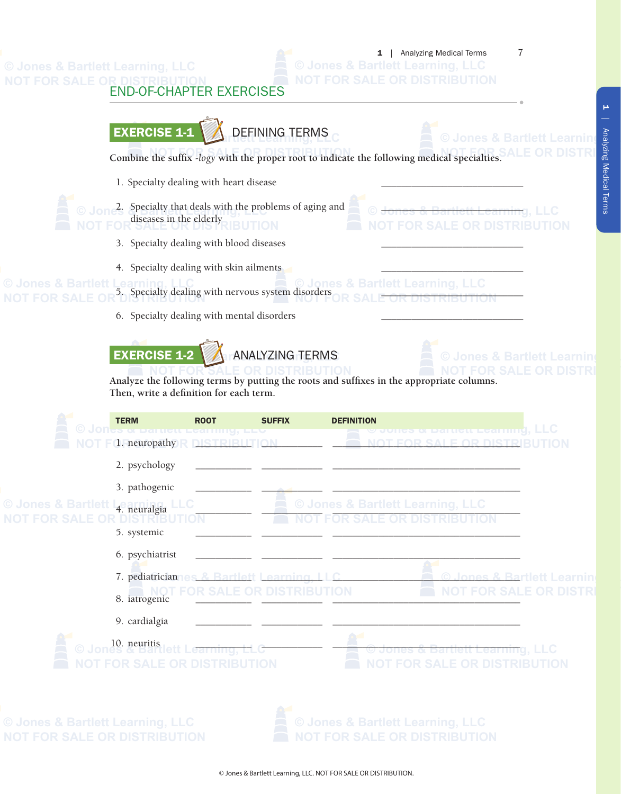**© Jones & Bartlett Learning, LLC**

## **NOT FOR SALE OR DISTRIBUTION** END-OF-CHAPTER EXERCISES



Combine the suffix *-logy* with the proper root to indicate the following medical specialties.

- 1. Specialty dealing with heart disease
- 2. Specialty that deals with the problems of aging and \_\_\_\_\_\_\_\_\_\_\_\_\_\_\_\_\_\_\_\_\_\_\_\_\_\_ diseases in the elderly
	- 3. Specialty dealing with blood diseases
	- 4. Specialty dealing with skin ailments
- **© Jones & Bartlett Learning, LLC** 5. Specialty dealing with nervous system disorders \_\_\_\_\_\_\_\_\_\_\_\_\_\_\_\_\_\_\_\_\_\_\_\_\_\_\_\_\_ **© Jones & Bartlett Learning, LLC**  $\frac{1}{2}$ 
	- 6. Specialty dealing with mental disorders



**NOT FOR SALE OR DISTRIBUTION Analyze the following terms by putting the roots and suffixes in the appropriate columns. Then, write a definition for each term.**

| <b>TERM</b>     | <b>ROOT</b> | <b>SUFFIX</b> | <b>DEFINITION</b>                          |
|-----------------|-------------|---------------|--------------------------------------------|
| 1. neuropathy   |             |               |                                            |
| 2. psychology   |             |               |                                            |
| 3. pathogenic   |             |               | <u> 1999 - Jan James, maria (h. 1989).</u> |
| 4. neuralgia    |             |               |                                            |
| 5. systemic     |             |               |                                            |
| 6. psychiatrist |             |               |                                            |
| 7. pediatrician |             |               |                                            |
| 8. iatrogenic   |             |               |                                            |
| 9. cardialgia   |             |               |                                            |
| 10. neuritis    |             |               |                                            |